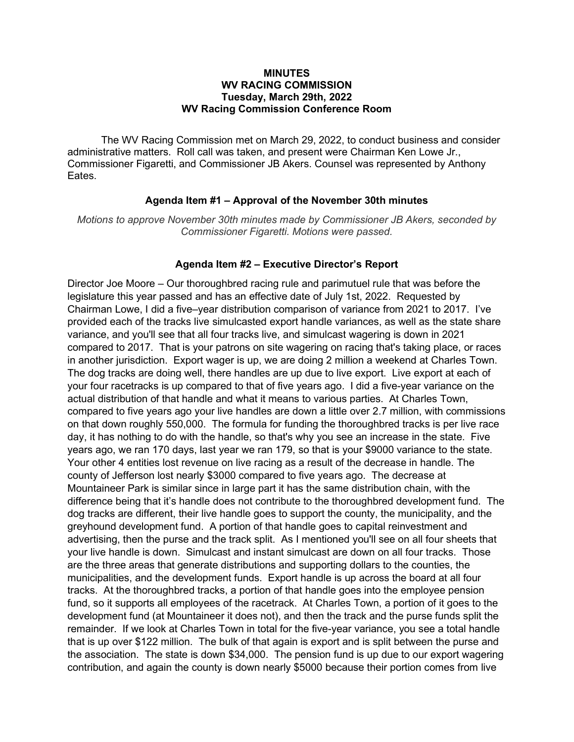#### **MINUTES** WV RACING COMMISSION Tuesday, March 29th, 2022 WV Racing Commission Conference Room

The WV Racing Commission met on March 29, 2022, to conduct business and consider administrative matters. Roll call was taken, and present were Chairman Ken Lowe Jr., Commissioner Figaretti, and Commissioner JB Akers. Counsel was represented by Anthony Eates.

### Agenda Item #1 – Approval of the November 30th minutes

Motions to approve November 30th minutes made by Commissioner JB Akers, seconded by Commissioner Figaretti. Motions were passed.

#### Agenda Item #2 – Executive Director's Report

Director Joe Moore – Our thoroughbred racing rule and parimutuel rule that was before the legislature this year passed and has an effective date of July 1st, 2022. Requested by Chairman Lowe, I did a five–year distribution comparison of variance from 2021 to 2017. I've provided each of the tracks live simulcasted export handle variances, as well as the state share variance, and you'll see that all four tracks live, and simulcast wagering is down in 2021 compared to 2017. That is your patrons on site wagering on racing that's taking place, or races in another jurisdiction. Export wager is up, we are doing 2 million a weekend at Charles Town. The dog tracks are doing well, there handles are up due to live export. Live export at each of your four racetracks is up compared to that of five years ago. I did a five-year variance on the actual distribution of that handle and what it means to various parties. At Charles Town, compared to five years ago your live handles are down a little over 2.7 million, with commissions on that down roughly 550,000. The formula for funding the thoroughbred tracks is per live race day, it has nothing to do with the handle, so that's why you see an increase in the state. Five years ago, we ran 170 days, last year we ran 179, so that is your \$9000 variance to the state. Your other 4 entities lost revenue on live racing as a result of the decrease in handle. The county of Jefferson lost nearly \$3000 compared to five years ago. The decrease at Mountaineer Park is similar since in large part it has the same distribution chain, with the difference being that it's handle does not contribute to the thoroughbred development fund. The dog tracks are different, their live handle goes to support the county, the municipality, and the greyhound development fund. A portion of that handle goes to capital reinvestment and advertising, then the purse and the track split. As I mentioned you'll see on all four sheets that your live handle is down. Simulcast and instant simulcast are down on all four tracks. Those are the three areas that generate distributions and supporting dollars to the counties, the municipalities, and the development funds. Export handle is up across the board at all four tracks. At the thoroughbred tracks, a portion of that handle goes into the employee pension fund, so it supports all employees of the racetrack. At Charles Town, a portion of it goes to the development fund (at Mountaineer it does not), and then the track and the purse funds split the remainder. If we look at Charles Town in total for the five-year variance, you see a total handle that is up over \$122 million. The bulk of that again is export and is split between the purse and the association. The state is down \$34,000. The pension fund is up due to our export wagering contribution, and again the county is down nearly \$5000 because their portion comes from live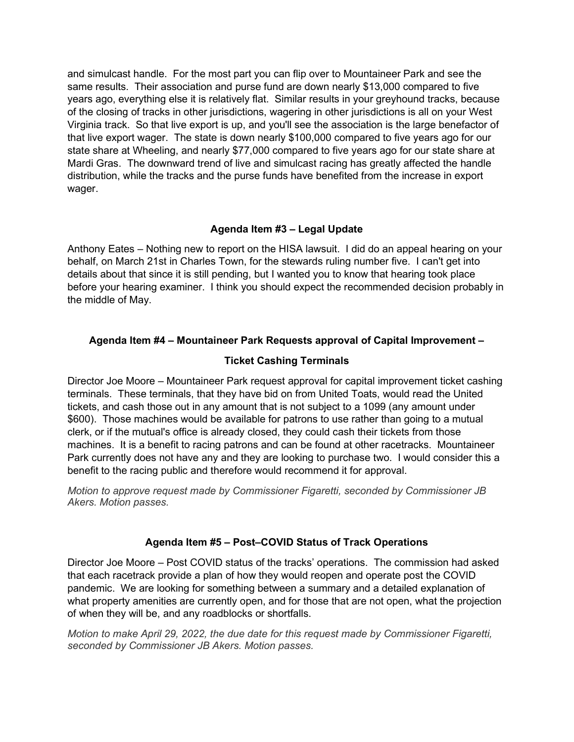and simulcast handle. For the most part you can flip over to Mountaineer Park and see the same results. Their association and purse fund are down nearly \$13,000 compared to five years ago, everything else it is relatively flat. Similar results in your greyhound tracks, because of the closing of tracks in other jurisdictions, wagering in other jurisdictions is all on your West Virginia track. So that live export is up, and you'll see the association is the large benefactor of that live export wager. The state is down nearly \$100,000 compared to five years ago for our state share at Wheeling, and nearly \$77,000 compared to five years ago for our state share at Mardi Gras. The downward trend of live and simulcast racing has greatly affected the handle distribution, while the tracks and the purse funds have benefited from the increase in export wager.

# Agenda Item #3 – Legal Update

Anthony Eates – Nothing new to report on the HISA lawsuit. I did do an appeal hearing on your behalf, on March 21st in Charles Town, for the stewards ruling number five. I can't get into details about that since it is still pending, but I wanted you to know that hearing took place before your hearing examiner. I think you should expect the recommended decision probably in the middle of May.

# Agenda Item #4 – Mountaineer Park Requests approval of Capital Improvement –

# Ticket Cashing Terminals

Director Joe Moore – Mountaineer Park request approval for capital improvement ticket cashing terminals. These terminals, that they have bid on from United Toats, would read the United tickets, and cash those out in any amount that is not subject to a 1099 (any amount under \$600). Those machines would be available for patrons to use rather than going to a mutual clerk, or if the mutual's office is already closed, they could cash their tickets from those machines. It is a benefit to racing patrons and can be found at other racetracks. Mountaineer Park currently does not have any and they are looking to purchase two. I would consider this a benefit to the racing public and therefore would recommend it for approval.

Motion to approve request made by Commissioner Figaretti, seconded by Commissioner JB Akers. Motion passes.

## Agenda Item #5 – Post–COVID Status of Track Operations

Director Joe Moore – Post COVID status of the tracks' operations. The commission had asked that each racetrack provide a plan of how they would reopen and operate post the COVID pandemic. We are looking for something between a summary and a detailed explanation of what property amenities are currently open, and for those that are not open, what the projection of when they will be, and any roadblocks or shortfalls.

Motion to make April 29, 2022, the due date for this request made by Commissioner Figaretti, seconded by Commissioner JB Akers. Motion passes.